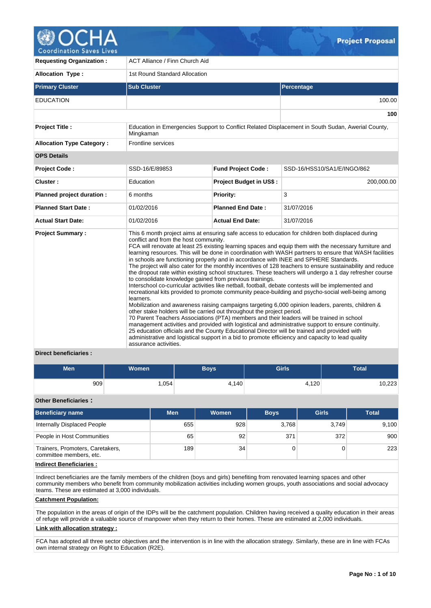

**Coordination Saves Lives** 

| <b>Requesting Organization:</b>  | <b>ACT Alliance / Finn Church Aid</b>                                       |                                                                                                                                                                                                                                                                                                                             |                                                                                                                                                                                                                                                                                                                                                                                                                                                                                                                                                                                                                                                                                                                                                                                                                                                                                                                                                                                                                                                                                                                                                                             |  |  |  |  |
|----------------------------------|-----------------------------------------------------------------------------|-----------------------------------------------------------------------------------------------------------------------------------------------------------------------------------------------------------------------------------------------------------------------------------------------------------------------------|-----------------------------------------------------------------------------------------------------------------------------------------------------------------------------------------------------------------------------------------------------------------------------------------------------------------------------------------------------------------------------------------------------------------------------------------------------------------------------------------------------------------------------------------------------------------------------------------------------------------------------------------------------------------------------------------------------------------------------------------------------------------------------------------------------------------------------------------------------------------------------------------------------------------------------------------------------------------------------------------------------------------------------------------------------------------------------------------------------------------------------------------------------------------------------|--|--|--|--|
| <b>Allocation Type:</b>          | 1st Round Standard Allocation                                               |                                                                                                                                                                                                                                                                                                                             |                                                                                                                                                                                                                                                                                                                                                                                                                                                                                                                                                                                                                                                                                                                                                                                                                                                                                                                                                                                                                                                                                                                                                                             |  |  |  |  |
| <b>Primary Cluster</b>           | <b>Sub Cluster</b>                                                          |                                                                                                                                                                                                                                                                                                                             | Percentage                                                                                                                                                                                                                                                                                                                                                                                                                                                                                                                                                                                                                                                                                                                                                                                                                                                                                                                                                                                                                                                                                                                                                                  |  |  |  |  |
| <b>EDUCATION</b>                 |                                                                             |                                                                                                                                                                                                                                                                                                                             | 100.00                                                                                                                                                                                                                                                                                                                                                                                                                                                                                                                                                                                                                                                                                                                                                                                                                                                                                                                                                                                                                                                                                                                                                                      |  |  |  |  |
|                                  |                                                                             |                                                                                                                                                                                                                                                                                                                             | 100                                                                                                                                                                                                                                                                                                                                                                                                                                                                                                                                                                                                                                                                                                                                                                                                                                                                                                                                                                                                                                                                                                                                                                         |  |  |  |  |
| <b>Project Title:</b>            | Mingkaman                                                                   |                                                                                                                                                                                                                                                                                                                             | Education in Emergencies Support to Conflict Related Displacement in South Sudan, Awerial County,                                                                                                                                                                                                                                                                                                                                                                                                                                                                                                                                                                                                                                                                                                                                                                                                                                                                                                                                                                                                                                                                           |  |  |  |  |
| <b>Allocation Type Category:</b> | Frontline services                                                          |                                                                                                                                                                                                                                                                                                                             |                                                                                                                                                                                                                                                                                                                                                                                                                                                                                                                                                                                                                                                                                                                                                                                                                                                                                                                                                                                                                                                                                                                                                                             |  |  |  |  |
| <b>OPS Details</b>               |                                                                             |                                                                                                                                                                                                                                                                                                                             |                                                                                                                                                                                                                                                                                                                                                                                                                                                                                                                                                                                                                                                                                                                                                                                                                                                                                                                                                                                                                                                                                                                                                                             |  |  |  |  |
| <b>Project Code:</b>             | SSD-16/E/89853                                                              | <b>Fund Project Code:</b>                                                                                                                                                                                                                                                                                                   | SSD-16/HSS10/SA1/E/INGO/862                                                                                                                                                                                                                                                                                                                                                                                                                                                                                                                                                                                                                                                                                                                                                                                                                                                                                                                                                                                                                                                                                                                                                 |  |  |  |  |
| Cluster:                         | Education                                                                   | <b>Project Budget in US\$:</b>                                                                                                                                                                                                                                                                                              | 200,000.00                                                                                                                                                                                                                                                                                                                                                                                                                                                                                                                                                                                                                                                                                                                                                                                                                                                                                                                                                                                                                                                                                                                                                                  |  |  |  |  |
| Planned project duration :       | 6 months                                                                    | Priority:                                                                                                                                                                                                                                                                                                                   | 3                                                                                                                                                                                                                                                                                                                                                                                                                                                                                                                                                                                                                                                                                                                                                                                                                                                                                                                                                                                                                                                                                                                                                                           |  |  |  |  |
| <b>Planned Start Date:</b>       | 01/02/2016                                                                  | <b>Planned End Date:</b>                                                                                                                                                                                                                                                                                                    | 31/07/2016                                                                                                                                                                                                                                                                                                                                                                                                                                                                                                                                                                                                                                                                                                                                                                                                                                                                                                                                                                                                                                                                                                                                                                  |  |  |  |  |
| <b>Actual Start Date:</b>        | 01/02/2016                                                                  | <b>Actual End Date:</b>                                                                                                                                                                                                                                                                                                     | 31/07/2016                                                                                                                                                                                                                                                                                                                                                                                                                                                                                                                                                                                                                                                                                                                                                                                                                                                                                                                                                                                                                                                                                                                                                                  |  |  |  |  |
| <b>Project Summary:</b>          | conflict and from the host community.<br>learners.<br>assurance activities. | in schools are functioning properly and in accordance with INEE and SPHERE Standards.<br>to consolidate knowledge gained from previous trainings.<br>other stake holders will be carried out throughout the project period.<br>25 education officials and the County Educational Director will be trained and provided with | This 6 month project aims at ensuring safe access to education for children both displaced during<br>FCA will renovate at least 25 existing learning spaces and equip them with the necessary furniture and<br>learning resources. This will be done in coordination with WASH partners to ensure that WASH facilities<br>The project will also cater for the monthly incentives of 128 teachers to ensure sustainability and reduce<br>the dropout rate within existing school structures. These teachers will undergo a 1 day refresher course<br>Interschool co-curricular activities like netball, football, debate contests will be implemented and<br>recreational kits provided to promote community peace-building and psycho-social well-being among<br>Mobilization and awareness raising campaigns targeting 6,000 opinion leaders, parents, children &<br>70 Parent Teachers Associations (PTA) members and their leaders will be trained in school<br>management activities and provided with logistical and administrative support to ensure continuity.<br>administrative and logistical support in a bid to promote efficiency and capacity to lead quality |  |  |  |  |

# **Direct beneficiaries :**

| <b>Men</b> | <b>Women</b> | <b>Boys</b> | <b>Girls</b> | <b>Total</b> |
|------------|--------------|-------------|--------------|--------------|
| 909        | ∫054، ،      | 4,140       | 4,120        | 10,223       |

### **Other Beneficiaries :**

| <b>Beneficiary name</b>                                     | <b>Men</b> | Women | <b>Boys</b> | <b>Girls</b> | <b>Total</b> |
|-------------------------------------------------------------|------------|-------|-------------|--------------|--------------|
| Internally Displaced People                                 | 655        | 928   | 3.768       | 3.749        | 9,100        |
| People in Host Communities                                  | 65         | 92    | 371         | 372          | 900          |
| Trainers, Promoters, Caretakers,<br>committee members, etc. | 189        | 34    |             |              | 223          |

## **Indirect Beneficiaries :**

Indirect beneficiaries are the family members of the children (boys and girls) benefiting from renovated learning spaces and other community members who benefit from community mobilization activities including women groups, youth associations and social advocacy teams. These are estimated at 3,000 individuals.

## **Catchment Population:**

The population in the areas of origin of the IDPs will be the catchment population. Children having received a quality education in their areas of refuge will provide a valuable source of manpower when they return to their homes. These are estimated at 2,000 individuals.

## **Link with allocation strategy :**

FCA has adopted all three sector objectives and the intervention is in line with the allocation strategy. Similarly, these are in line with FCAs own internal strategy on Right to Education (R2E).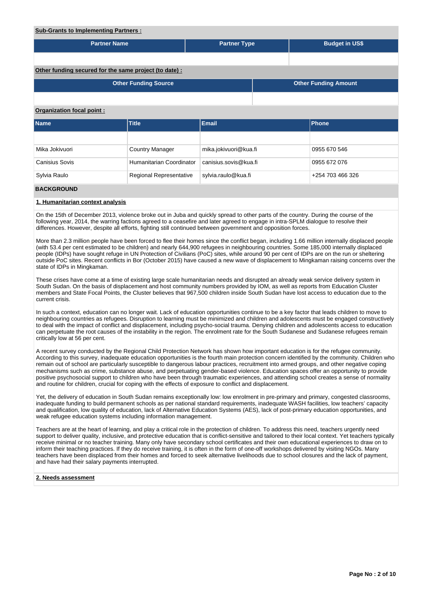#### **Sub-Grants to Implementing Partners :**

| <u>Sub-Grants to implementing Partners:</u> |                                                        |                       |                  |                             |  |  |  |  |  |  |
|---------------------------------------------|--------------------------------------------------------|-----------------------|------------------|-----------------------------|--|--|--|--|--|--|
| <b>Partner Name</b>                         |                                                        | <b>Partner Type</b>   |                  | <b>Budget in US\$</b>       |  |  |  |  |  |  |
|                                             |                                                        |                       |                  |                             |  |  |  |  |  |  |
|                                             | Other funding secured for the same project (to date) : |                       |                  |                             |  |  |  |  |  |  |
|                                             | <b>Other Funding Source</b>                            |                       |                  | <b>Other Funding Amount</b> |  |  |  |  |  |  |
|                                             |                                                        |                       |                  |                             |  |  |  |  |  |  |
| Organization focal point:                   |                                                        |                       |                  |                             |  |  |  |  |  |  |
| <b>Name</b>                                 | <b>Title</b>                                           | <b>Email</b>          |                  | <b>Phone</b>                |  |  |  |  |  |  |
|                                             |                                                        |                       |                  |                             |  |  |  |  |  |  |
| Mika Jokivuori                              | <b>Country Manager</b>                                 | mika.jokivuori@kua.fi |                  | 0955 670 546                |  |  |  |  |  |  |
| <b>Canisius Sovis</b>                       | Humanitarian Coordinator                               | canisius.sovis@kua.fi | 0955 672 076     |                             |  |  |  |  |  |  |
| Sylvia Raulo                                | Regional Representative                                | sylvia.raulo@kua.fi   | +254 703 466 326 |                             |  |  |  |  |  |  |
| <b>BACKGROUND</b>                           |                                                        |                       |                  |                             |  |  |  |  |  |  |

### **1. Humanitarian context analysis**

On the 15th of December 2013, violence broke out in Juba and quickly spread to other parts of the country. During the course of the following year, 2014, the warring factions agreed to a ceasefire and later agreed to engage in intra-SPLM dialogue to resolve their differences. However, despite all efforts, fighting still continued between government and opposition forces.

More than 2.3 million people have been forced to flee their homes since the conflict began, including 1.66 million internally displaced people (with 53.4 per cent estimated to be children) and nearly 644,900 refugees in neighbouring countries. Some 185,000 internally displaced people (IDPs) have sought refuge in UN Protection of Civilians (PoC) sites, while around 90 per cent of IDPs are on the run or sheltering outside PoC sites. Recent conflicts in Bor (October 2015) have caused a new wave of displacement to Mingkaman raising concerns over the state of IDPs in Mingkaman.

These crises have come at a time of existing large scale humanitarian needs and disrupted an already weak service delivery system in South Sudan. On the basis of displacement and host community numbers provided by IOM, as well as reports from Education Cluster members and State Focal Points, the Cluster believes that 967,500 children inside South Sudan have lost access to education due to the current crisis.

In such a context, education can no longer wait. Lack of education opportunities continue to be a key factor that leads children to move to neighbouring countries as refugees. Disruption to learning must be minimized and children and adolescents must be engaged constructively to deal with the impact of conflict and displacement, including psycho-social trauma. Denying children and adolescents access to education can perpetuate the root causes of the instability in the region. The enrolment rate for the South Sudanese and Sudanese refugees remain critically low at 56 per cent.

A recent survey conducted by the Regional Child Protection Network has shown how important education is for the refugee community. According to this survey, inadequate education opportunities is the fourth main protection concern identified by the community. Children who remain out of school are particularly susceptible to dangerous labour practices, recruitment into armed groups, and other negative coping mechanisms such as crime, substance abuse, and perpetuating gender-based violence. Education spaces offer an opportunity to provide positive psychosocial support to children who have been through traumatic experiences, and attending school creates a sense of normality and routine for children, crucial for coping with the effects of exposure to conflict and displacement.

Yet, the delivery of education in South Sudan remains exceptionally low: low enrolment in pre-primary and primary, congested classrooms, inadequate funding to build permanent schools as per national standard requirements, inadequate WASH facilities, low teachers' capacity and qualification, low quality of education, lack of Alternative Education Systems (AES), lack of post-primary education opportunities, and weak refugee education systems including information management.

Teachers are at the heart of learning, and play a critical role in the protection of children. To address this need, teachers urgently need support to deliver quality, inclusive, and protective education that is conflict-sensitive and tailored to their local context. Yet teachers typically receive minimal or no teacher training. Many only have secondary school certificates and their own educational experiences to draw on to inform their teaching practices. If they do receive training, it is often in the form of one-off workshops delivered by visiting NGOs. Many teachers have been displaced from their homes and forced to seek alternative livelihoods due to school closures and the lack of payment, and have had their salary payments interrupted.

#### **2. Needs assessment**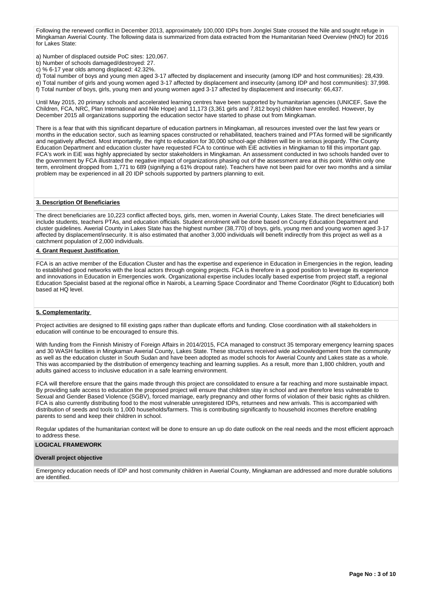Following the renewed conflict in December 2013, approximately 100,000 IDPs from Jonglei State crossed the Nile and sought refuge in Mingkaman Awerial County. The following data is summarized from data extracted from the Humanitarian Need Overview (HNO) for 2016 for Lakes State:

a) Number of displaced outside PoC sites: 120,067.

- b) Number of schools damaged/destroyed: 27.
- c) % 6-17 year olds among displaced: 42.32%.

d) Total number of boys and young men aged 3-17 affected by displacement and insecurity (among IDP and host communities): 28,439. e) Total number of girls and young women aged 3-17 affected by displacement and insecurity (among IDP and host communities): 37,998.

f) Total number of boys, girls, young men and young women aged 3-17 affected by displacement and insecurity: 66,437.

Until May 2015, 20 primary schools and accelerated learning centres have been supported by humanitarian agencies (UNICEF, Save the Children, FCA, NRC, Plan International and Nile Hope) and 11,173 (3,361 girls and 7,812 boys) children have enrolled. However, by December 2015 all organizations supporting the education sector have started to phase out from Mingkaman.

There is a fear that with this significant departure of education partners in Mingkaman, all resources invested over the last few years or months in the education sector, such as learning spaces constructed or rehabilitated, teachers trained and PTAs formed will be significantly and negatively affected. Most importantly, the right to education for 30,000 school-age children will be in serious jeopardy. The County Education Department and education cluster have requested FCA to continue with EiE activities in Mingkaman to fill this important gap. FCA's work in EiE was highly appreciated by sector stakeholders in Mingkaman. An assessment conducted in two schools handed over to the government by FCA illustrated the negative impact of organizations phasing out of the assessment area at this point. Within only one term, enrolment dropped from 1,771 to 689 (signifying a 61% dropout rate). Teachers have not been paid for over two months and a similar problem may be experienced in all 20 IDP schools supported by partners planning to exit.

### **3. Description Of Beneficiaries**

The direct beneficiaries are 10,223 conflict affected boys, girls, men, women in Awerial County, Lakes State. The direct beneficiaries will include students, teachers PTAs, and education officials. Student enrolment will be done based on County Education Department and cluster guidelines. Awerial County in Lakes State has the highest number (38,770) of boys, girls, young men and young women aged 3-17 affected by displacement/insecurity. It is also estimated that another 3,000 individuals will benefit indirectly from this project as well as a catchment population of 2,000 individuals.

### **4. Grant Request Justification**

FCA is an active member of the Education Cluster and has the expertise and experience in Education in Emergencies in the region, leading to established good networks with the local actors through ongoing projects. FCA is therefore in a good position to leverage its experience and innovations in Education in Emergencies work. Organizational expertise includes locally based expertise from project staff, a regional Education Specialist based at the regional office in Nairobi, a Learning Space Coordinator and Theme Coordinator (Right to Education) both based at HQ level.

### **5. Complementarity**

Project activities are designed to fill existing gaps rather than duplicate efforts and funding. Close coordination with all stakeholders in education will continue to be encouraged to ensure this.

With funding from the Finnish Ministry of Foreign Affairs in 2014/2015, FCA managed to construct 35 temporary emergency learning spaces and 30 WASH facilities in Mingkaman Awerial County, Lakes State. These structures received wide acknowledgement from the community as well as the education cluster in South Sudan and have been adopted as model schools for Awerial County and Lakes state as a whole. This was accompanied by the distribution of emergency teaching and learning supplies. As a result, more than 1,800 children, youth and adults gained access to inclusive education in a safe learning environment.

FCA will therefore ensure that the gains made through this project are consolidated to ensure a far reaching and more sustainable impact. By providing safe access to education the proposed project will ensure that children stay in school and are therefore less vulnerable to Sexual and Gender Based Violence (SGBV), forced marriage, early pregnancy and other forms of violation of their basic rights as children. FCA is also currently distributing food to the most vulnerable unregistered IDPs, returnees and new arrivals. This is accompanied with distribution of seeds and tools to 1,000 households/farmers. This is contributing significantly to household incomes therefore enabling parents to send and keep their children in school.

Regular updates of the humanitarian context will be done to ensure an up do date outlook on the real needs and the most efficient approach to address these.

### **LOGICAL FRAMEWORK**

#### **Overall project objective**

Emergency education needs of IDP and host community children in Awerial County, Mingkaman are addressed and more durable solutions are identified.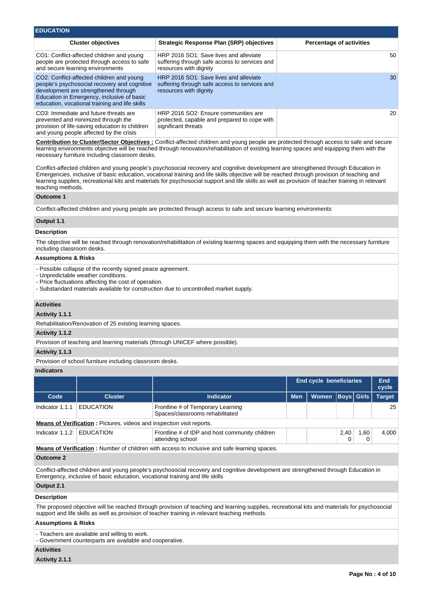| <b>EDUCATION</b>                                                                                                                                                                                                                  |                                                                                                                   |                                 |
|-----------------------------------------------------------------------------------------------------------------------------------------------------------------------------------------------------------------------------------|-------------------------------------------------------------------------------------------------------------------|---------------------------------|
| <b>Cluster objectives</b>                                                                                                                                                                                                         | <b>Strategic Response Plan (SRP) objectives</b>                                                                   | <b>Percentage of activities</b> |
| CO1: Conflict-affected children and young<br>people are protected through access to safe<br>and secure learning environments                                                                                                      | HRP 2016 SO1: Save lives and alleviate<br>suffering through safe access to services and<br>resources with dignity | 50                              |
| CO2: Conflict-affected children and young<br>people's psychosocial recovery and cognitive<br>development are strengthened through<br>Education in Emergency, inclusive of basic<br>education, vocational training and life skills | HRP 2016 SO1: Save lives and alleviate<br>suffering through safe access to services and<br>resources with dignity | 30                              |
| CO3: Immediate and future threats are<br>prevented and minimized through the<br>provision of life-saving education to children<br>and young people affected by the crisis                                                         | HRP 2016 SO2: Ensure communities are<br>protected, capable and prepared to cope with<br>significant threats       | 20                              |

**Contribution to Cluster/Sector Objectives :** Conflict-affected children and young people are protected through access to safe and secure learning environments objective will be reached through renovation/rehabilitation of existing learning spaces and equipping them with the necessary furniture including classroom desks.

Conflict-affected children and young people's psychosocial recovery and cognitive development are strengthened through Education in Emergencies, inclusive of basic education, vocational training and life skills objective will be reached through provision of teaching and learning supplies, recreational kits and materials for psychosocial support and life skills as well as provision of teacher training in relevant teaching methods.

#### **Outcome 1**

Conflict-affected children and young people are protected through access to safe and secure learning environments

### **Output 1.1**

#### **Description**

The objective will be reached through renovation/rehabilitation of existing learning spaces and equipping them with the necessary furniture including classroom desks.

#### **Assumptions & Risks**

- Possible collapse of the recently signed peace agreement.

- Unpredictable weather conditions.
- Price fluctuations affecting the cost of operation.
- Substandard materials available for construction due to uncontrolled market supply.

### **Activities**

### **Activity 1.1.1**

Rehabilitation/Renovation of 25 existing learning spaces.

#### **Activity 1.1.2**

Provision of teaching and learning materials (through UNICEF where possible).

### **Activity 1.1.3**

Provision of school furniture including classroom desks.

#### **Indicators**

|                 |                                                                       |                                                                                                     | <b>End cycle beneficiaries</b> |              |                   |      | End<br>cycle  |  |
|-----------------|-----------------------------------------------------------------------|-----------------------------------------------------------------------------------------------------|--------------------------------|--------------|-------------------|------|---------------|--|
| Code            | <b>Cluster</b>                                                        | <b>Indicator</b>                                                                                    | <b>Men</b>                     | <b>Women</b> | <b>Boys Girls</b> |      | <b>Target</b> |  |
| Indicator 1.1.1 | <b>EDUCATION</b>                                                      | Frontline # of Temporary Learning<br>Spaces/classrooms rehabilitated                                |                                |              |                   |      | 25            |  |
|                 | Means of Verification: Pictures, videos and inspection visit reports. |                                                                                                     |                                |              |                   |      |               |  |
| Indicator 1.1.2 | <b>EDUCATION</b>                                                      | Frontline # of IDP and host community children<br>attending school                                  |                                |              | 2,40              | 1,60 | 4,000         |  |
|                 |                                                                       | <b>Means of Verification:</b> Number of children with access to inclusive and safe learning spaces. |                                |              |                   |      |               |  |

#### **Outcome 2**

Conflict-affected children and young people's psychosocial recovery and cognitive development are strengthened through Education in Emergency, inclusive of basic education, vocational training and life skills

### **Output 2.1**

#### **Description**

The proposed objective will be reached through provision of teaching and learning supplies, recreational kits and materials for psychosocial support and life skills as well as provision of teacher training in relevant teaching methods.

#### **Assumptions & Risks**

- Teachers are available and willing to work.

- Government counterparts are available and cooperative.

## **Activities**

**Activity 2.1.1**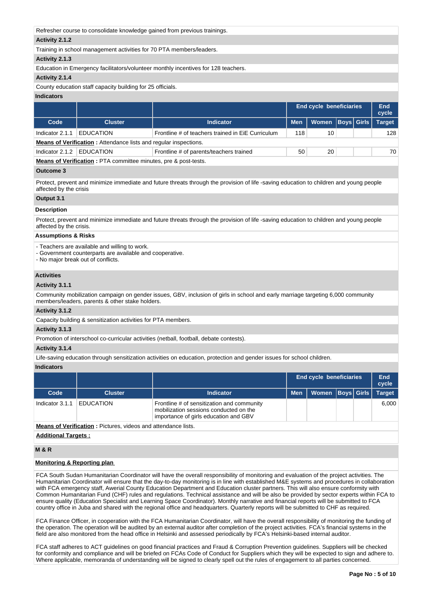| Refresher course to consolidate knowledge gained from previous trainings. |                                                                  |                                                                                    |            |                                |  |                   |               |  |  |  |
|---------------------------------------------------------------------------|------------------------------------------------------------------|------------------------------------------------------------------------------------|------------|--------------------------------|--|-------------------|---------------|--|--|--|
| Activity 2.1.2                                                            |                                                                  |                                                                                    |            |                                |  |                   |               |  |  |  |
| Training in school management activities for 70 PTA members/leaders.      |                                                                  |                                                                                    |            |                                |  |                   |               |  |  |  |
| Activity 2.1.3                                                            |                                                                  |                                                                                    |            |                                |  |                   |               |  |  |  |
|                                                                           |                                                                  | Education in Emergency facilitators/volunteer monthly incentives for 128 teachers. |            |                                |  |                   |               |  |  |  |
| Activity 2.1.4                                                            |                                                                  |                                                                                    |            |                                |  |                   |               |  |  |  |
|                                                                           | County education staff capacity building for 25 officials.       |                                                                                    |            |                                |  |                   |               |  |  |  |
| <b>Indicators</b>                                                         |                                                                  |                                                                                    |            |                                |  |                   |               |  |  |  |
|                                                                           |                                                                  |                                                                                    |            | <b>End cycle beneficiaries</b> |  |                   | End<br>cycle  |  |  |  |
| Code                                                                      | <b>Cluster</b>                                                   | <b>Indicator</b>                                                                   | <b>Men</b> | Women                          |  | <b>Boys Girls</b> | <b>Target</b> |  |  |  |
|                                                                           |                                                                  |                                                                                    |            |                                |  |                   |               |  |  |  |
| Indicator 2.1.1                                                           | <b>EDUCATION</b>                                                 | Frontline # of teachers trained in EiE Curriculum                                  | 118        | 10                             |  |                   | 128           |  |  |  |
|                                                                           | Means of Verification: Attendance lists and regular inspections. |                                                                                    |            |                                |  |                   |               |  |  |  |

**Means of Verification :** PTA committee minutes, pre & post-tests.

### **Outcome 3**

Protect, prevent and minimize immediate and future threats through the provision of life -saving education to children and young people affected by the crisis

### **Output 3.1**

## **Description**

Protect, prevent and minimize immediate and future threats through the provision of life -saving education to children and young people affected by the crisis.

### **Assumptions & Risks**

- Teachers are available and willing to work.

- Government counterparts are available and cooperative.

- No major break out of conflicts.

### **Activities**

### **Activity 3.1.1**

Community mobilization campaign on gender issues, GBV, inclusion of girls in school and early marriage targeting 6,000 community members/leaders, parents & other stake holders.

### **Activity 3.1.2**

Capacity building & sensitization activities for PTA members.

### **Activity 3.1.3**

Promotion of interschool co-curricular activities (netball, football, debate contests).

#### **Activity 3.1.4**

Life-saving education through sensitization activities on education, protection and gender issues for school children.

### **Indicators**

|                 |                                                                      |                                                                                                                               |            | <b>End cycle beneficiaries</b> |  |       | End<br>cycle  |  |  |  |
|-----------------|----------------------------------------------------------------------|-------------------------------------------------------------------------------------------------------------------------------|------------|--------------------------------|--|-------|---------------|--|--|--|
| Code            | <b>Cluster</b>                                                       | <b>Indicator</b>                                                                                                              | <b>Men</b> | <b>Women Boys Girls</b>        |  |       | <b>Target</b> |  |  |  |
| Indicator 3.1.1 | <b>EDUCATION</b>                                                     | Frontline # of sensitization and community<br>mobilization sessions conducted on the<br>importance of girls education and GBV |            |                                |  | 6.000 |               |  |  |  |
|                 | <b>Means of Verification:</b> Pictures, videos and attendance lists. |                                                                                                                               |            |                                |  |       |               |  |  |  |
|                 | <b>Additional Targets:</b>                                           |                                                                                                                               |            |                                |  |       |               |  |  |  |

## **M & R**

## **Monitoring & Reporting plan**

FCA South Sudan Humanitarian Coordinator will have the overall responsibility of monitoring and evaluation of the project activities. The Humanitarian Coordinator will ensure that the day-to-day monitoring is in line with established M&E systems and procedures in collaboration with FCA emergency staff, Awerial County Education Department and Education cluster partners. This will also ensure conformity with Common Humanitarian Fund (CHF) rules and regulations. Technical assistance and will be also be provided by sector experts within FCA to ensure quality (Education Specialist and Learning Space Coordinator). Monthly narrative and financial reports will be submitted to FCA country office in Juba and shared with the regional office and headquarters. Quarterly reports will be submitted to CHF as required.

FCA Finance Officer, in cooperation with the FCA Humanitarian Coordinator, will have the overall responsibility of monitoring the funding of the operation. The operation will be audited by an external auditor after completion of the project activities. FCA's financial systems in the field are also monitored from the head office in Helsinki and assessed periodically by FCA's Helsinki-based internal auditor.

FCA staff adheres to ACT guidelines on good financial practices and Fraud & Corruption Prevention guidelines. Suppliers will be checked for conformity and compliance and will be briefed on FCAs Code of Conduct for Suppliers which they will be expected to sign and adhere to. Where applicable, memoranda of understanding will be signed to clearly spell out the rules of engagement to all parties concerned.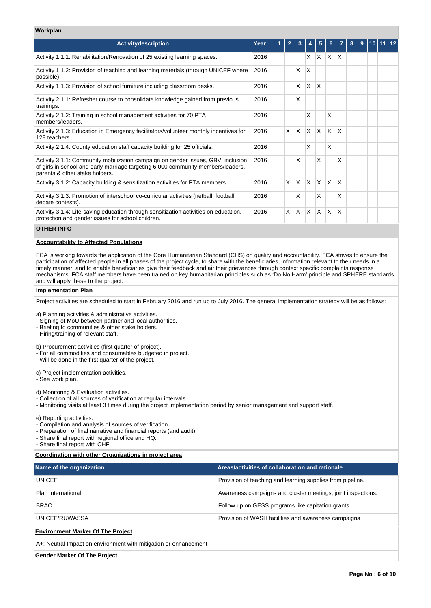### **Workplan**

| <b>Activitydescription</b>                                                                                                                                                                             | Year | 1 | $\overline{2}$ | 3            |              | 5        | 6            |   | 8 | 9 | 10111 |  |
|--------------------------------------------------------------------------------------------------------------------------------------------------------------------------------------------------------|------|---|----------------|--------------|--------------|----------|--------------|---|---|---|-------|--|
| Activity 1.1.1: Rehabilitation/Renovation of 25 existing learning spaces.                                                                                                                              | 2016 |   |                |              | X            | X        | $\times$     | X |   |   |       |  |
| Activity 1.1.2: Provision of teaching and learning materials (through UNICEF where<br>possible).                                                                                                       | 2016 |   |                | X            | X            |          |              |   |   |   |       |  |
| Activity 1.1.3: Provision of school furniture including classroom desks.                                                                                                                               | 2016 |   |                | X            | $\mathsf{X}$ | X        |              |   |   |   |       |  |
| Activity 2.1.1: Refresher course to consolidate knowledge gained from previous<br>trainings.                                                                                                           | 2016 |   |                | X            |              |          |              |   |   |   |       |  |
| Activity 2.1.2: Training in school management activities for 70 PTA<br>members/leaders.                                                                                                                | 2016 |   |                |              | X            |          | X            |   |   |   |       |  |
| Activity 2.1.3: Education in Emergency facilitators/volunteer monthly incentives for<br>128 teachers.                                                                                                  | 2016 |   | X              | X            | ΙX.          | <b>X</b> | X            | X |   |   |       |  |
| Activity 2.1.4: County education staff capacity building for 25 officials.                                                                                                                             | 2016 |   |                |              | X            |          | X            |   |   |   |       |  |
| Activity 3.1.1: Community mobilization campaign on gender issues, GBV, inclusion<br>of girls in school and early marriage targeting 6,000 community members/leaders,<br>parents & other stake holders. | 2016 |   |                | X            |              | X        |              | x |   |   |       |  |
| Activity 3.1.2: Capacity building & sensitization activities for PTA members.                                                                                                                          | 2016 |   | <b>X</b>       | $\mathsf{X}$ | $\mathsf{X}$ | ΙX.      | $\times$     | X |   |   |       |  |
| Activity 3.1.3: Promotion of interschool co-curricular activities (netball, football,<br>debate contests).                                                                                             | 2016 |   |                | X            |              | X        |              | X |   |   |       |  |
| Activity 3.1.4: Life-saving education through sensitization activities on education,<br>protection and gender issues for school children.                                                              | 2016 |   | X              | <b>X</b>     | ΙX.          | <b>X</b> | $\mathsf{x}$ | X |   |   |       |  |

### **OTHER INFO**

### **Accountability to Affected Populations**

FCA is working towards the application of the Core Humanitarian Standard (CHS) on quality and accountability. FCA strives to ensure the participation of affected people in all phases of the project cycle, to share with the beneficiaries, information relevant to their needs in a timely manner, and to enable beneficiaries give their feedback and air their grievances through context specific complaints response mechanisms. FCA staff members have been trained on key humanitarian principles such as 'Do No Harm' principle and SPHERE standards and will apply these to the project.

#### **Implementation Plan**

Project activities are scheduled to start in February 2016 and run up to July 2016. The general implementation strategy will be as follows:

a) Planning activities & administrative activities.

- Signing of MoU between partner and local authorities.

- Briefing to communities & other stake holders.

- Hiring/training of relevant staff.

b) Procurement activities (first quarter of project).

- For all commodities and consumables budgeted in project.

- Will be done in the first quarter of the project.

c) Project implementation activities.

- See work plan.

d) Monitoring & Evaluation activities.

- Collection of all sources of verification at regular intervals.

- Monitoring visits at least 3 times during the project implementation period by senior management and support staff.

e) Reporting activities.

- Compilation and analysis of sources of verification.

- Preparation of final narrative and financial reports (and audit).

- Share final report with regional office and HQ.

- Share final report with CHF.

### **Coordination with other Organizations in project area**

| Name of the organization                                         | <b>Areas/activities of collaboration and rationale</b>       |
|------------------------------------------------------------------|--------------------------------------------------------------|
|                                                                  |                                                              |
| <b>UNICEF</b>                                                    | Provision of teaching and learning supplies from pipeline.   |
| Plan International                                               | Awareness campaigns and cluster meetings, joint inspections. |
| <b>BRAC</b>                                                      | Follow up on GESS programs like capitation grants.           |
| UNICEF/RUWASSA                                                   | Provision of WASH facilities and awareness campaigns         |
| <b>Environment Marker Of The Project</b>                         |                                                              |
| A+: Neutral Impact on environment with mitigation or enhancement |                                                              |
|                                                                  |                                                              |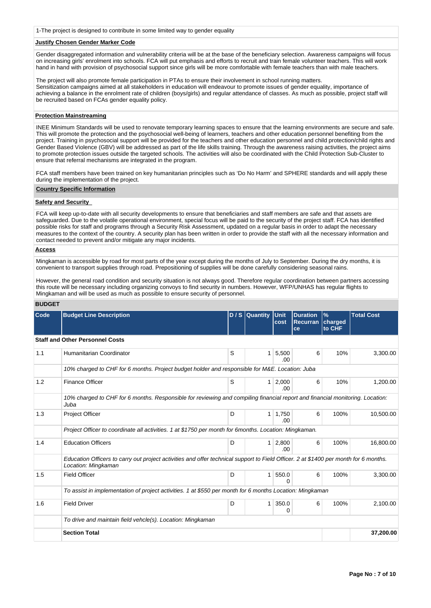1-The project is designed to contribute in some limited way to gender equality

### **Justify Chosen Gender Marker Code**

Gender disaggregated information and vulnerability criteria will be at the base of the beneficiary selection. Awareness campaigns will focus on increasing girls' enrolment into schools. FCA will put emphasis and efforts to recruit and train female volunteer teachers. This will work hand in hand with provision of psychosocial support since girls will be more comfortable with female teachers than with male teachers.

The project will also promote female participation in PTAs to ensure their involvement in school running matters. Sensitization campaigns aimed at all stakeholders in education will endeavour to promote issues of gender equality, importance of achieving a balance in the enrolment rate of children (boys/girls) and regular attendance of classes. As much as possible, project staff will be recruited based on FCAs gender equality policy.

### **Protection Mainstreaming**

INEE Minimum Standards will be used to renovate temporary learning spaces to ensure that the learning environments are secure and safe. This will promote the protection and the psychosocial well-being of learners, teachers and other education personnel benefiting from the project. Training in psychosocial support will be provided for the teachers and other education personnel and child protection/child rights and Gender Based Violence (GBV) will be addressed as part of the life skills training. Through the awareness raising activities, the project aims to promote protection issues outside the targeted schools. The activities will also be coordinated with the Child Protection Sub-Cluster to ensure that referral mechanisms are integrated in the program.

FCA staff members have been trained on key humanitarian principles such as 'Do No Harm' and SPHERE standards and will apply these during the implementation of the project.

### **Country Specific Information**

### **Safety and Security**

FCA will keep up-to-date with all security developments to ensure that beneficiaries and staff members are safe and that assets are safeguarded. Due to the volatile operational environment, special focus will be paid to the security of the project staff. FCA has identified possible risks for staff and programs through a Security Risk Assessment, updated on a regular basis in order to adapt the necessary measures to the context of the country. A security plan has been written in order to provide the staff with all the necessary information and contact needed to prevent and/or mitigate any major incidents.

### **Access**

Mingkaman is accessible by road for most parts of the year except during the months of July to September. During the dry months, it is convenient to transport supplies through road. Prepositioning of supplies will be done carefully considering seasonal rains.

However, the general road condition and security situation is not always good. Therefore regular coordination between partners accessing this route will be necessary including organizing convoys to find security in numbers. However, WFP/UNHAS has regular flights to Mingkaman and will be used as much as possible to ensure security of personnel.

### **BUDGET**

| Code | <b>Budget Line Description</b>                                                                                                                              |   | D / S Quantity Unit | cost         | <b>Duration</b><br>Recurran<br>ce | $\frac{9}{6}$<br>charged<br>to CHF | <b>Total Cost</b> |
|------|-------------------------------------------------------------------------------------------------------------------------------------------------------------|---|---------------------|--------------|-----------------------------------|------------------------------------|-------------------|
|      | <b>Staff and Other Personnel Costs</b>                                                                                                                      |   |                     |              |                                   |                                    |                   |
| 1.1  | Humanitarian Coordinator                                                                                                                                    | S | 1                   | 5,500<br>.00 | 6                                 | 10%                                | 3,300.00          |
|      | 10% charged to CHF for 6 months. Project budget holder and responsible for M&E. Location: Juba                                                              |   |                     |              |                                   |                                    |                   |
| 1.2  | <b>Finance Officer</b>                                                                                                                                      | S | $\mathbf{1}$        | 2,000<br>.00 | 6                                 | 10%                                | 1,200.00          |
|      | 10% charged to CHF for 6 months. Responsible for reviewing and compiling financial report and financial monitoring. Location:<br>Juba                       |   |                     |              |                                   |                                    |                   |
| 1.3  | <b>Project Officer</b>                                                                                                                                      | D | 1                   | 1,750<br>.00 | 6                                 | 100%                               | 10,500.00         |
|      | Project Officer to coordinate all activities. 1 at \$1750 per month for 6months. Location: Mingkaman.                                                       |   |                     |              |                                   |                                    |                   |
| 1.4  | <b>Education Officers</b>                                                                                                                                   | D | $\mathbf{1}$        | 2,800<br>.00 | 6                                 | 100%                               | 16,800.00         |
|      | Education Officers to carry out project activities and offer technical support to Field Officer. 2 at \$1400 per month for 6 months.<br>Location: Mingkaman |   |                     |              |                                   |                                    |                   |
| 1.5  | <b>Field Officer</b>                                                                                                                                        | D | 1                   | 550.0<br>0   | 6                                 | 100%                               | 3,300.00          |
|      | To assist in implementation of project activities. 1 at \$550 per month for 6 months Location: Mingkaman                                                    |   |                     |              |                                   |                                    |                   |
| 1.6  | <b>Field Driver</b>                                                                                                                                         | D | $\mathbf{1}$        | 350.0<br>0   | 6                                 | 100%                               | 2,100.00          |
|      | To drive and maintain field vehcle(s). Location: Mingkaman                                                                                                  |   |                     |              |                                   |                                    |                   |
|      | <b>Section Total</b>                                                                                                                                        |   |                     |              |                                   |                                    | 37,200.00         |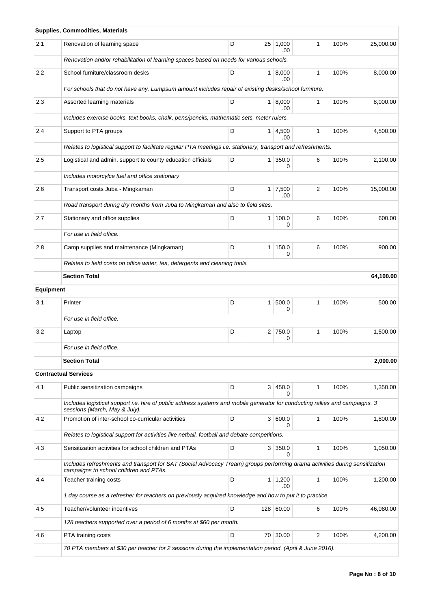|           | Supplies, Commodities, Materials                                                                                                                                      |   |                |                        |                |      |           |
|-----------|-----------------------------------------------------------------------------------------------------------------------------------------------------------------------|---|----------------|------------------------|----------------|------|-----------|
| 2.1       | Renovation of learning space                                                                                                                                          | D |                | $25 \mid 1,000$<br>.00 | 1              | 100% | 25,000.00 |
|           | Renovation and/or rehabilitation of learning spaces based on needs for various schools.                                                                               |   |                |                        |                |      |           |
| 2.2       | School furniture/classroom desks                                                                                                                                      | D |                | 1   8,000<br>.00       | 1              | 100% | 8,000.00  |
|           | For schools that do not have any. Lumpsum amount includes repair of existing desks/school furniture.                                                                  |   |                |                        |                |      |           |
| 2.3       | Assorted learning materials                                                                                                                                           | D |                | 1   8,000<br>.00       | 1              | 100% | 8,000.00  |
|           | Includes exercise books, text books, chalk, pens/pencils, mathematic sets, meter rulers.                                                                              |   |                |                        |                |      |           |
| 2.4       | Support to PTA groups                                                                                                                                                 | D |                | 1   4,500<br>.00       | 1              | 100% | 4,500.00  |
|           | Relates to logistical support to facilitate regular PTA meetings i.e. stationary, transport and refreshments.                                                         |   |                |                        |                |      |           |
| 2.5       | Logistical and admin. support to county education officials                                                                                                           | D |                | 1 350.0<br>0           | 6              | 100% | 2,100.00  |
|           | Includes motorcylce fuel and office stationary                                                                                                                        |   |                |                        |                |      |           |
| 2.6       | Transport costs Juba - Mingkaman                                                                                                                                      | D |                | $1 \mid 7,500$<br>.00  | $\overline{2}$ | 100% | 15,000.00 |
|           | Road transport during dry months from Juba to Mingkaman and also to field sites.                                                                                      |   |                |                        |                |      |           |
| 2.7       | Stationary and office supplies                                                                                                                                        | D | $\mathbf{1}$   | 100.0<br>0             | 6              | 100% | 600.00    |
|           | For use in field office.                                                                                                                                              |   |                |                        |                |      |           |
| 2.8       | Camp supplies and maintenance (Mingkaman)                                                                                                                             | D | 1 <sup>1</sup> | 150.0<br>0             | 6              | 100% | 900.00    |
|           | Relates to field costs on office water, tea, detergents and cleaning tools.                                                                                           |   |                |                        |                |      |           |
|           | <b>Section Total</b>                                                                                                                                                  |   |                |                        |                |      | 64,100.00 |
| Equipment |                                                                                                                                                                       |   |                |                        |                |      |           |
| 3.1       | Printer                                                                                                                                                               | D | 1 <sup>1</sup> | 500.0<br>0             | 1              | 100% | 500.00    |
|           | For use in field office.                                                                                                                                              |   |                |                        |                |      |           |
| 3.2       | Laptop                                                                                                                                                                | D |                | 2 750.0<br>0           | 1              | 100% | 1,500.00  |
|           | For use in field office.                                                                                                                                              |   |                |                        |                |      |           |
|           | <b>Section Total</b>                                                                                                                                                  |   |                |                        |                |      | 2.000.00  |
|           | <b>Contractual Services</b>                                                                                                                                           |   |                |                        |                |      |           |
| 4.1       | Public sensitization campaigns                                                                                                                                        | D | 3 <sup>1</sup> | 450.0<br>0             | 1              | 100% | 1,350.00  |
|           | Includes logistical support i.e. hire of public address systems and mobile generator for conducting rallies and campaigns. 3<br>sessions (March, May & July).         |   |                |                        |                |      |           |
| 4.2       | Promotion of inter-school co-curricular activities                                                                                                                    | D |                | 3   600.0<br>0         | $\mathbf{1}$   | 100% | 1,800.00  |
|           | Relates to logistical support for activities like netball, football and debate competitions.                                                                          |   |                |                        |                |      |           |
| 4.3       | Sensitization activities for school children and PTAs                                                                                                                 | D |                | 3   350.0<br>0         | 1              | 100% | 1,050.00  |
|           | Includes refreshments and transport for SAT (Social Advocacy Tream) groups performing drama activities during sensitization<br>campaigns to school children and PTAs. |   |                |                        |                |      |           |
| 4.4       | Teacher training costs                                                                                                                                                | D |                | 1   1,200<br>.00       | 1              | 100% | 1,200.00  |
|           | 1 day course as a refresher for teachers on previously acquired knowledge and how to put it to practice.                                                              |   |                |                        |                |      |           |
| 4.5       | Teacher/volunteer incentives                                                                                                                                          | D |                | 128 60.00              | 6              | 100% | 46,080.00 |
|           | 128 teachers supported over a period of 6 months at \$60 per month.                                                                                                   |   |                |                        |                |      |           |
| 4.6       | PTA training costs                                                                                                                                                    | D |                | 70 30.00               | 2              | 100% | 4,200.00  |
|           | 70 PTA members at \$30 per teacher for 2 sessions during the implementation period. (April & June 2016).                                                              |   |                |                        |                |      |           |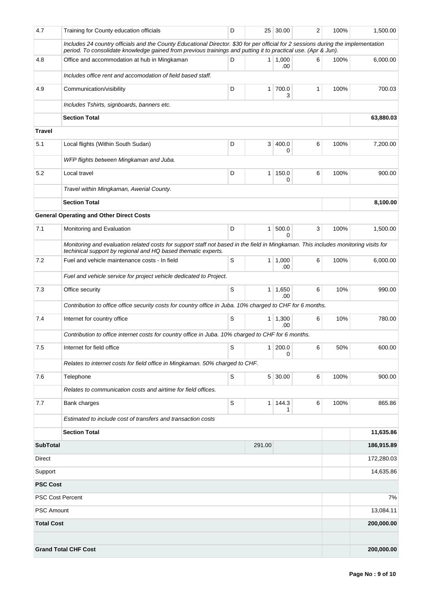| 4.7                     | Training for County education officials                                                                                                                                                                                                            | D |                | 25 30.00              | 2 | 100% | 1,500.00   |  |
|-------------------------|----------------------------------------------------------------------------------------------------------------------------------------------------------------------------------------------------------------------------------------------------|---|----------------|-----------------------|---|------|------------|--|
|                         | Includes 24 country officials and the County Educational Director. \$30 for per official for 2 sessions during the implementation<br>period. To consolidate knowledge gained from previous trainings and putting it to practical use. (Apr & Jun). |   |                |                       |   |      |            |  |
| 4.8                     | Office and accommodation at hub in Mingkaman                                                                                                                                                                                                       | D |                | $1 \mid 1,000$<br>.00 | 6 | 100% | 6,000.00   |  |
|                         | Includes office rent and accomodation of field based staff.                                                                                                                                                                                        |   |                |                       |   |      |            |  |
| 4.9                     | Communication/visibility                                                                                                                                                                                                                           | D | $\mathbf{1}$   | 700.0<br>3            | 1 | 100% | 700.03     |  |
|                         | Includes Tshirts, signboards, banners etc.                                                                                                                                                                                                         |   |                |                       |   |      |            |  |
|                         | <b>Section Total</b>                                                                                                                                                                                                                               |   |                |                       |   |      | 63,880.03  |  |
| <b>Travel</b>           |                                                                                                                                                                                                                                                    |   |                |                       |   |      |            |  |
| 5.1                     | Local flights (Within South Sudan)                                                                                                                                                                                                                 | D | 3              | 400.0<br>0            | 6 | 100% | 7,200.00   |  |
|                         | WFP flights between Mingkaman and Juba.                                                                                                                                                                                                            |   |                |                       |   |      |            |  |
| 5.2                     | Local travel                                                                                                                                                                                                                                       | D | $\mathbf{1}$   | 150.0<br>0            | 6 | 100% | 900.00     |  |
|                         | Travel within Mingkaman, Awerial County.                                                                                                                                                                                                           |   |                |                       |   |      |            |  |
|                         | <b>Section Total</b>                                                                                                                                                                                                                               |   |                |                       |   |      | 8,100.00   |  |
|                         | <b>General Operating and Other Direct Costs</b>                                                                                                                                                                                                    |   |                |                       |   |      |            |  |
| 7.1                     | Monitoring and Evaluation                                                                                                                                                                                                                          | D | $\mathbf{1}$   | 500.0<br>0            | 3 | 100% | 1.500.00   |  |
|                         | Monitoring and evaluation related costs for support staff not based in the field in Mingkaman. This includes monitoring visits for<br>techinical support by regional and HQ based thematic experts.                                                |   |                |                       |   |      |            |  |
| 7.2                     | Fuel and vehicle maintenance costs - In field                                                                                                                                                                                                      | S | 1 <sup>1</sup> | 1,000<br>.00          | 6 | 100% | 6,000.00   |  |
|                         | Fuel and vehicle service for project vehicle dedicated to Project.                                                                                                                                                                                 |   |                |                       |   |      |            |  |
| 7.3                     | Office security                                                                                                                                                                                                                                    | S | $\mathbf{1}$   | 1,650<br>.00          | 6 | 10%  | 990.00     |  |
|                         | Contribution to office office security costs for country office in Juba. 10% charged to CHF for 6 months.                                                                                                                                          |   |                |                       |   |      |            |  |
| 7.4                     | Internet for country office                                                                                                                                                                                                                        | S | 1              | 1,300<br>.00          | 6 | 10%  | 780.00     |  |
|                         | Contribution to office internet costs for country office in Juba. 10% charged to CHF for 6 months.                                                                                                                                                 |   |                |                       |   |      |            |  |
| 7.5                     | Internet for field office                                                                                                                                                                                                                          | S | 1 <sup>1</sup> | 200.0<br>0            | 6 | 50%  | 600.00     |  |
|                         | Relates to internet costs for field office in Mingkaman. 50% charged to CHF.                                                                                                                                                                       |   |                |                       |   |      |            |  |
| 7.6                     | Telephone                                                                                                                                                                                                                                          | S |                | $5 \mid 30.00$        | 6 | 100% | 900.00     |  |
|                         | Relates to communication costs and airtime for field offices.                                                                                                                                                                                      |   |                |                       |   |      |            |  |
| 7.7                     | Bank charges                                                                                                                                                                                                                                       | S | $\mathbf{1}$   | 144.3<br>1            | 6 | 100% | 865.86     |  |
|                         | Estimated to include cost of transfers and transaction costs                                                                                                                                                                                       |   |                |                       |   |      |            |  |
|                         | <b>Section Total</b>                                                                                                                                                                                                                               |   |                |                       |   |      | 11,635.86  |  |
| <b>SubTotal</b>         |                                                                                                                                                                                                                                                    |   | 291.00         |                       |   |      | 186,915.89 |  |
| Direct                  |                                                                                                                                                                                                                                                    |   |                |                       |   |      | 172,280.03 |  |
| Support                 |                                                                                                                                                                                                                                                    |   |                | 14,635.86             |   |      |            |  |
| <b>PSC Cost</b>         |                                                                                                                                                                                                                                                    |   |                |                       |   |      |            |  |
| <b>PSC Cost Percent</b> |                                                                                                                                                                                                                                                    |   |                |                       |   |      | 7%         |  |
| <b>PSC Amount</b>       |                                                                                                                                                                                                                                                    |   |                |                       |   |      | 13,084.11  |  |
| <b>Total Cost</b>       |                                                                                                                                                                                                                                                    |   |                |                       |   |      | 200,000.00 |  |
|                         |                                                                                                                                                                                                                                                    |   |                |                       |   |      |            |  |
|                         | <b>Grand Total CHF Cost</b>                                                                                                                                                                                                                        |   |                |                       |   |      | 200,000.00 |  |